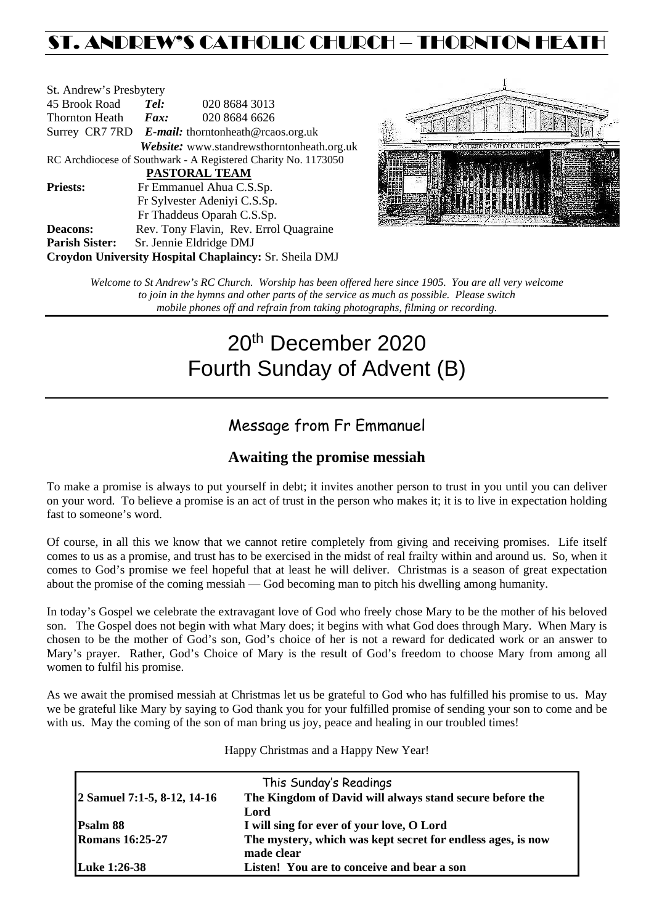## ST. ANDREW'S CATHOLIC CHURCH – THORNTON HEATH

| St. Andrew's Presbytery                                        |                                                   |                                                        |  |  |  |  |
|----------------------------------------------------------------|---------------------------------------------------|--------------------------------------------------------|--|--|--|--|
| 45 Brook Road                                                  | Tel:                                              | 020 8684 3013                                          |  |  |  |  |
| <b>Thornton Heath</b>                                          | $\boldsymbol{Fax:}$                               | 020 8684 6626                                          |  |  |  |  |
|                                                                | Surrey CR7 7RD E-mail: thorntonheath@rcaos.org.uk |                                                        |  |  |  |  |
|                                                                |                                                   | Website: www.standrewsthorntonheath.org.uk             |  |  |  |  |
| RC Archdiocese of Southwark - A Registered Charity No. 1173050 |                                                   |                                                        |  |  |  |  |
| <b>PASTORAL TEAM</b>                                           |                                                   |                                                        |  |  |  |  |
| <b>Priests:</b>                                                | Fr Emmanuel Ahua C.S.Sp.                          |                                                        |  |  |  |  |
| Fr Sylvester Adeniyi C.S.Sp.                                   |                                                   |                                                        |  |  |  |  |
|                                                                |                                                   | Fr Thaddeus Oparah C.S.Sp.                             |  |  |  |  |
| <b>Deacons:</b>                                                |                                                   | Rev. Tony Flavin, Rev. Errol Quagraine                 |  |  |  |  |
| <b>Parish Sister:</b>                                          |                                                   | Sr. Jennie Eldridge DMJ                                |  |  |  |  |
|                                                                |                                                   | Croydon University Hospital Chaplaincy: Sr. Sheila DMJ |  |  |  |  |



*Welcome to St Andrew's RC Church. Worship has been offered here since 1905. You are all very welcome to join in the hymns and other parts of the service as much as possible. Please switch mobile phones off and refrain from taking photographs, filming or recording.*

# 20th December 2020 Fourth Sunday of Advent (B)

### Message from Fr Emmanuel

### **Awaiting the promise messiah**

To make a promise is always to put yourself in debt; it invites another person to trust in you until you can deliver on your word. To believe a promise is an act of trust in the person who makes it; it is to live in expectation holding fast to someone's word.

Of course, in all this we know that we cannot retire completely from giving and receiving promises. Life itself comes to us as a promise, and trust has to be exercised in the midst of real frailty within and around us. So, when it comes to God's promise we feel hopeful that at least he will deliver. Christmas is a season of great expectation about the promise of the coming messiah — God becoming man to pitch his dwelling among humanity.

In today's Gospel we celebrate the extravagant love of God who freely chose Mary to be the mother of his beloved son. The Gospel does not begin with what Mary does; it begins with what God does through Mary. When Mary is chosen to be the mother of God's son, God's choice of her is not a reward for dedicated work or an answer to Mary's prayer. Rather, God's Choice of Mary is the result of God's freedom to choose Mary from among all women to fulfil his promise.

As we await the promised messiah at Christmas let us be grateful to God who has fulfilled his promise to us. May we be grateful like Mary by saying to God thank you for your fulfilled promise of sending your son to come and be with us. May the coming of the son of man bring us joy, peace and healing in our troubled times!

Happy Christmas and a Happy New Year!

|                             | This Sunday's Readings                                                    |  |
|-----------------------------|---------------------------------------------------------------------------|--|
| 2 Samuel 7:1-5, 8-12, 14-16 | The Kingdom of David will always stand secure before the                  |  |
|                             | Lord                                                                      |  |
| Psalm 88                    | I will sing for ever of your love, O Lord                                 |  |
| <b>Romans 16:25-27</b>      | The mystery, which was kept secret for endless ages, is now<br>made clear |  |
| <b>Luke 1:26-38</b>         | Listen! You are to conceive and bear a son                                |  |
|                             |                                                                           |  |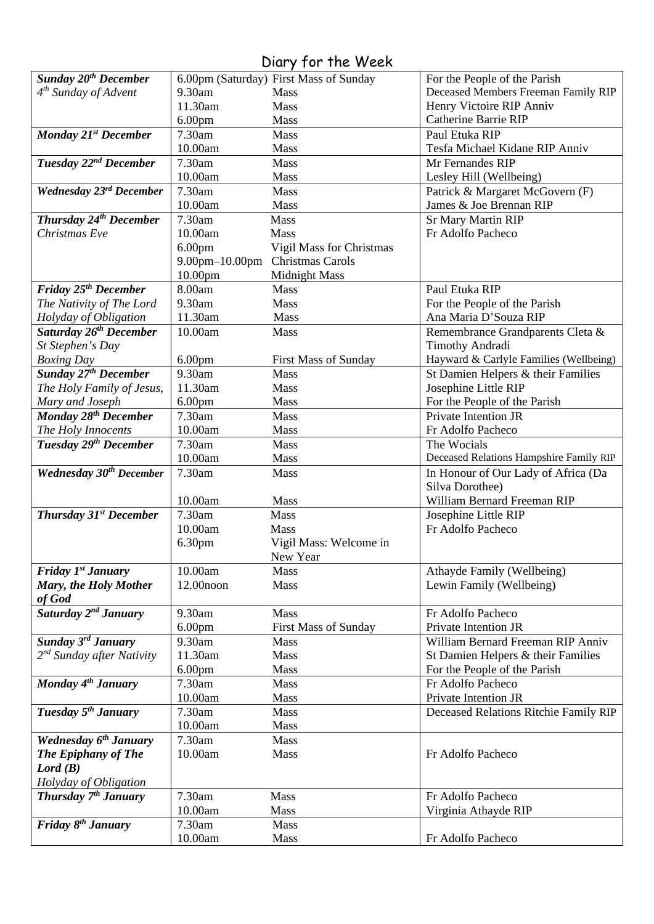### Diary for the Week

| <b>Sunday 20th December</b>               |                    | 6.00pm (Saturday) First Mass of Sunday | For the People of the Parish            |
|-------------------------------------------|--------------------|----------------------------------------|-----------------------------------------|
| $4th$ Sunday of Advent                    | 9.30am             | Mass                                   | Deceased Members Freeman Family RIP     |
|                                           | 11.30am            | Mass                                   | Henry Victoire RIP Anniv                |
|                                           |                    |                                        | <b>Catherine Barrie RIP</b>             |
|                                           | 6.00 <sub>pm</sub> | Mass                                   |                                         |
| <b>Monday 21st December</b>               | 7.30am             | Mass                                   | Paul Etuka RIP                          |
|                                           | 10.00am            | Mass                                   | Tesfa Michael Kidane RIP Anniv          |
| Tuesday 22 <sup>nd</sup> December         | 7.30am             | Mass                                   | Mr Fernandes RIP                        |
|                                           | 10.00am            | Mass                                   | Lesley Hill (Wellbeing)                 |
| Wednesday 23rd December                   | 7.30am             | Mass                                   | Patrick & Margaret McGovern (F)         |
|                                           | 10.00am            | Mass                                   | James & Joe Brennan RIP                 |
| Thursday 24 <sup>th</sup> December        | 7.30am             | Mass                                   | <b>Sr Mary Martin RIP</b>               |
| Christmas Eve                             | 10.00am            | Mass                                   | Fr Adolfo Pacheco                       |
|                                           | 6.00 <sub>pm</sub> | Vigil Mass for Christmas               |                                         |
|                                           | 9.00pm-10.00pm     | Christmas Carols                       |                                         |
|                                           | 10.00pm            | <b>Midnight Mass</b>                   |                                         |
| Friday 25 <sup>th</sup> December          | 8.00am             | Mass                                   | Paul Etuka RIP                          |
| The Nativity of The Lord                  | 9.30am             | Mass                                   | For the People of the Parish            |
| Holyday of Obligation                     | 11.30am            | Mass                                   | Ana Maria D'Souza RIP                   |
| Saturday 26 <sup>th</sup> December        | 10.00am            | Mass                                   | Remembrance Grandparents Cleta &        |
| St Stephen's Day                          |                    |                                        | <b>Timothy Andradi</b>                  |
| <b>Boxing Day</b>                         | 6.00 <sub>pm</sub> | <b>First Mass of Sunday</b>            | Hayward & Carlyle Families (Wellbeing)  |
| <b>Sunday 27th December</b>               | 9.30am             | Mass                                   | St Damien Helpers & their Families      |
| The Holy Family of Jesus,                 | 11.30am            | Mass                                   | Josephine Little RIP                    |
| Mary and Joseph                           | 6.00 <sub>pm</sub> | Mass                                   | For the People of the Parish            |
| Monday 28 <sup>th</sup> December          | 7.30am             | Mass                                   | Private Intention JR                    |
| The Holy Innocents                        | 10.00am            | Mass                                   | Fr Adolfo Pacheco                       |
| Tuesday 29th December                     | 7.30am             | Mass                                   | The Wocials                             |
|                                           | 10.00am            | Mass                                   | Deceased Relations Hampshire Family RIP |
| <b>Wednesday 30th December</b>            | 7.30am             | Mass                                   | In Honour of Our Lady of Africa (Da     |
|                                           |                    |                                        | Silva Dorothee)                         |
|                                           | 10.00am            | Mass                                   | William Bernard Freeman RIP             |
| <b>Thursday 31st December</b>             | 7.30am             | Mass                                   | Josephine Little RIP                    |
|                                           | 10.00am            | <b>Mass</b>                            | Fr Adolfo Pacheco                       |
|                                           | 6.30pm             | Vigil Mass: Welcome in                 |                                         |
|                                           |                    | New Year                               |                                         |
| <b>Friday <math>I^{st}</math> January</b> | 10.00am            | Mass                                   | Athayde Family (Wellbeing)              |
| Mary, the Holy Mother                     | 12.00noon          | Mass                                   | Lewin Family (Wellbeing)                |
| of God                                    |                    |                                        |                                         |
| Saturday 2 <sup>nd</sup> January          | 9.30am             | Mass                                   | Fr Adolfo Pacheco                       |
|                                           | 6.00 <sub>pm</sub> | <b>First Mass of Sunday</b>            | Private Intention JR                    |
| <b>Sunday 3rd January</b>                 | 9.30am             | Mass                                   | William Bernard Freeman RIP Anniv       |
| $2^{nd}$ Sunday after Nativity            | 11.30am            | Mass                                   | St Damien Helpers & their Families      |
|                                           | 6.00 <sub>pm</sub> | Mass                                   | For the People of the Parish            |
| Monday 4 <sup>th</sup> January            | 7.30am             | Mass                                   | Fr Adolfo Pacheco                       |
|                                           | 10.00am            | Mass                                   | Private Intention JR                    |
| Tuesday 5 <sup>th</sup> January           | 7.30am             | Mass                                   | Deceased Relations Ritchie Family RIP   |
|                                           | 10.00am            | Mass                                   |                                         |
| Wednesday 6 <sup>th</sup> January         | 7.30am             | Mass                                   |                                         |
| <b>The Epiphany of The</b>                | 10.00am            | Mass                                   | Fr Adolfo Pacheco                       |
| Lord(B)                                   |                    |                                        |                                         |
| Holyday of Obligation                     |                    |                                        |                                         |
| Thursday 7 <sup>th</sup> January          | 7.30am             | Mass                                   | Fr Adolfo Pacheco                       |
|                                           | 10.00am            | <b>Mass</b>                            | Virginia Athayde RIP                    |
| Friday 8 <sup>th</sup> January            | 7.30am             | Mass                                   |                                         |
|                                           | 10.00am            | Mass                                   | Fr Adolfo Pacheco                       |